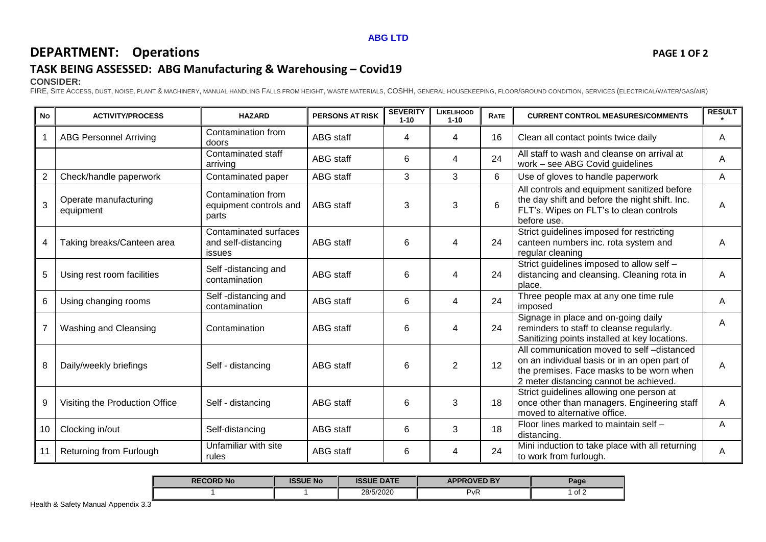#### **ABG LTD**

# **DEPARTMENT:** Operations **PAGE 1 OF 2**

## **TASK BEING ASSESSED: ABG Manufacturing & Warehousing – Covid19**

#### **CONSIDER:**

FIRE, SITE ACCESS, DUST, NOISE, PLANT & MACHINERY, MANUAL HANDLING FALLS FROM HEIGHT, WASTE MATERIALS, COSHH, GENERAL HOUSEKEEPING, FLOOR/GROUND CONDITION, SERVICES (ELECTRICAL/WATER/GAS/AIR)

| <b>No</b>      | <b>ACTIVITY/PROCESS</b>            | <b>HAZARD</b>                                          | <b>PERSONS AT RISK</b> | <b>SEVERITY</b><br>$1 - 10$ | <b>LIKELIHOOD</b><br>$1 - 10$ | <b>RATE</b> | <b>CURRENT CONTROL MEASURES/COMMENTS</b>                                                                                                                                        | <b>RESULT</b> |
|----------------|------------------------------------|--------------------------------------------------------|------------------------|-----------------------------|-------------------------------|-------------|---------------------------------------------------------------------------------------------------------------------------------------------------------------------------------|---------------|
| 1              | <b>ABG Personnel Arriving</b>      | Contamination from<br>doors                            | <b>ABG</b> staff       | 4                           | 4                             | 16          | Clean all contact points twice daily                                                                                                                                            | A             |
|                |                                    | Contaminated staff<br>arriving                         | <b>ABG</b> staff       | 6                           | 4                             | 24          | All staff to wash and cleanse on arrival at<br>work - see ABG Covid guidelines                                                                                                  | A             |
| $\overline{2}$ | Check/handle paperwork             | Contaminated paper                                     | <b>ABG</b> staff       | 3                           | 3                             | 6           | Use of gloves to handle paperwork                                                                                                                                               | A             |
| 3              | Operate manufacturing<br>equipment | Contamination from<br>equipment controls and<br>parts  | ABG staff              | 3                           | 3                             | 6           | All controls and equipment sanitized before<br>the day shift and before the night shift. Inc.<br>FLT's. Wipes on FLT's to clean controls<br>before use.                         | A             |
| 4              | Taking breaks/Canteen area         | Contaminated surfaces<br>and self-distancing<br>issues | <b>ABG</b> staff       | 6                           | 4                             | 24          | Strict guidelines imposed for restricting<br>canteen numbers inc. rota system and<br>regular cleaning                                                                           | A             |
| 5              | Using rest room facilities         | Self-distancing and<br>contamination                   | <b>ABG</b> staff       | 6                           | 4                             | 24          | Strict guidelines imposed to allow self -<br>distancing and cleansing. Cleaning rota in<br>place.                                                                               | A             |
| 6              | Using changing rooms               | Self-distancing and<br>contamination                   | ABG staff              | 6                           | 4                             | 24          | Three people max at any one time rule<br>imposed                                                                                                                                | A             |
| $\overline{7}$ | <b>Washing and Cleansing</b>       | Contamination                                          | <b>ABG</b> staff       | 6                           | 4                             | 24          | Signage in place and on-going daily<br>reminders to staff to cleanse regularly.<br>Sanitizing points installed at key locations.                                                | A             |
| 8              | Daily/weekly briefings             | Self - distancing                                      | <b>ABG</b> staff       | 6                           | 2                             | 12          | All communication moved to self-distanced<br>on an individual basis or in an open part of<br>the premises. Face masks to be worn when<br>2 meter distancing cannot be achieved. | A             |
| 9              | Visiting the Production Office     | Self - distancing                                      | <b>ABG</b> staff       | 6                           | 3                             | 18          | Strict guidelines allowing one person at<br>once other than managers. Engineering staff<br>moved to alternative office.                                                         |               |
| 10             | Clocking in/out                    | Self-distancing                                        | ABG staff              | 6                           | 3                             | 18          | Floor lines marked to maintain self -<br>distancing.                                                                                                                            | A             |
| 11             | Returning from Furlough            | Unfamiliar with site<br>rules                          | <b>ABG</b> staff       | 6                           | 4                             | 24          | Mini induction to take place with all returning<br>to work from furlough.                                                                                                       | Α             |

| <b>RECORD No</b> | <b>ISSUE No</b> | <b>ISSUE DATE</b> | <b>APPROVED BY</b> | $P$ age |
|------------------|-----------------|-------------------|--------------------|---------|
|                  |                 | 28/5/2020         | $P_VR$             | of 2    |